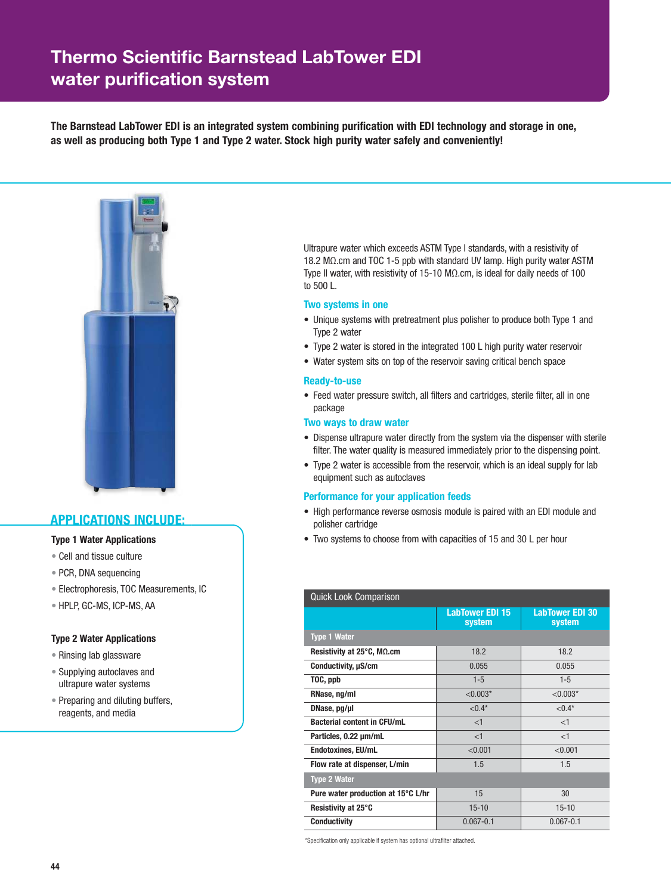# Thermo Scientific Barnstead LabTower EDI water purification system

**The Barnstead LabTower EDI is an integrated system combining purification with EDI technology and storage in one, as well as producing both Type 1 and Type 2 water. Stock high purity water safely and conveniently!**



## **APPLICATIONS INCLUDE:**

### **Type 1 Water Applications**

- Cell and tissue culture
- PCR, DNA sequencing
- Electrophoresis, TOC Measurements, IC
- HPLP, GC-MS, ICP-MS, AA

### **Type 2 Water Applications**

- Rinsing lab glassware
- Supplying autoclaves and ultrapure water systems
- Preparing and diluting buffers, reagents, and media

 Ultrapure water which exceeds ASTM Type I standards, with a resistivity of 18.2 MΩ.cm and TOC 1-5 ppb with standard UV lamp. High purity water ASTM Type II water, with resistivity of 15-10 MΩ.cm, is ideal for daily needs of 100 to 500 L.

### **Two systems in one**

- Unique systems with pretreatment plus polisher to produce both Type 1 and Type 2 water
- Type 2 water is stored in the integrated 100 L high purity water reservoir
- Water system sits on top of the reservoir saving critical bench space

#### **Ready-to-use**

• Feed water pressure switch, all filters and cartridges, sterile filter, all in one package

### **Two ways to draw water**

- Dispense ultrapure water directly from the system via the dispenser with sterile filter. The water quality is measured immediately prior to the dispensing point.
- Type 2 water is accessible from the reservoir, which is an ideal supply for lab equipment such as autoclaves

### **Performance for your application feeds**

- High performance reverse osmosis module is paired with an EDI module and polisher cartridge
- Two systems to choose from with capacities of 15 and 30 L per hour

| <b>Quick Look Comparison</b>       |                                  |                           |  |  |  |  |
|------------------------------------|----------------------------------|---------------------------|--|--|--|--|
|                                    | <b>LabTower EDI 15</b><br>system | LabTower EDI 30<br>system |  |  |  |  |
| <b>Type 1 Water</b>                |                                  |                           |  |  |  |  |
| Resistivity at 25°C, MΩ.cm         | 18.2                             | 18.2                      |  |  |  |  |
| Conductivity, µS/cm                | 0.055                            | 0.055                     |  |  |  |  |
| TOC, ppb                           | $1 - 5$                          | $1 - 5$                   |  |  |  |  |
| RNase, ng/ml                       | $< 0.003*$                       | ${<}0.003*$               |  |  |  |  |
| DNase, pg/µl                       | $< 0.4*$                         | $< 0.4*$                  |  |  |  |  |
| <b>Bacterial content in CFU/mL</b> | <1                               | <1                        |  |  |  |  |
| Particles, 0.22 um/mL              | <1                               | <1                        |  |  |  |  |
| <b>Endotoxines, EU/mL</b>          | < 0.001                          | < 0.001                   |  |  |  |  |
| Flow rate at dispenser, L/min      | 1.5                              | 1.5                       |  |  |  |  |
| <b>Type 2 Water</b>                |                                  |                           |  |  |  |  |
| Pure water production at 15°C L/hr | 15                               | 30                        |  |  |  |  |
| Resistivity at 25°C                | $15 - 10$                        | $15 - 10$                 |  |  |  |  |
| <b>Conductivity</b>                | $0.067 - 0.1$                    | $0.067 - 0.1$             |  |  |  |  |

\*Specification only applicable if system has optional ultrafilter attached.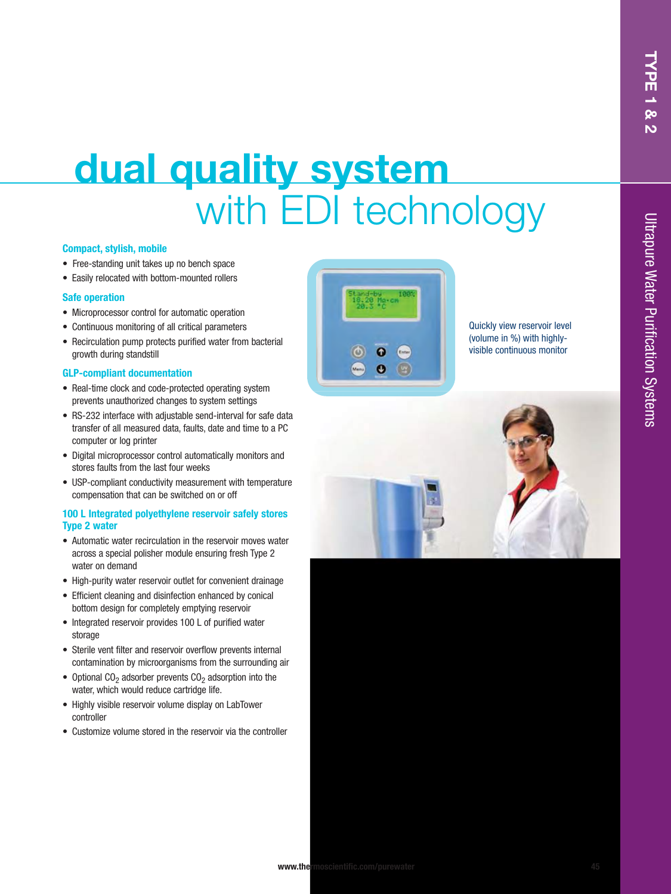# **dual quality system** with **EDI** technology

### **Compact, stylish, mobile**

- Free-standing unit takes up no bench space
- Easily relocated with bottom-mounted rollers

### **Safe operation**

- Microprocessor control for automatic operation
- Continuous monitoring of all critical parameters
- Recirculation pump protects purified water from bacterial growth during standstill

### **GLP-compliant documentation**

- Real-time clock and code-protected operating system prevents unauthorized changes to system settings
- RS-232 interface with adjustable send-interval for safe data transfer of all measured data, faults, date and time to a PC computer or log printer
- Digital microprocessor control automatically monitors and stores faults from the last four weeks
- USP-compliant conductivity measurement with temperature compensation that can be switched on or off

### **100 L Integrated polyethylene reservoir safely stores Type 2 water**

- Automatic water recirculation in the reservoir moves water across a special polisher module ensuring fresh Type 2 water on demand
- High-purity water reservoir outlet for convenient drainage
- Efficient cleaning and disinfection enhanced by conical bottom design for completely emptying reservoir
- Integrated reservoir provides 100 L of purified water storage
- Sterile vent filter and reservoir overflow prevents internal contamination by microorganisms from the surrounding air
- Optional CO<sub>2</sub> adsorber prevents CO<sub>2</sub> adsorption into the water, which would reduce cartridge life.
- Highly visible reservoir volume display on LabTower controller
- Customize volume stored in the reservoir via the controller



Quickly view reservoir level (volume in %) with highlyvisible continuous monitor

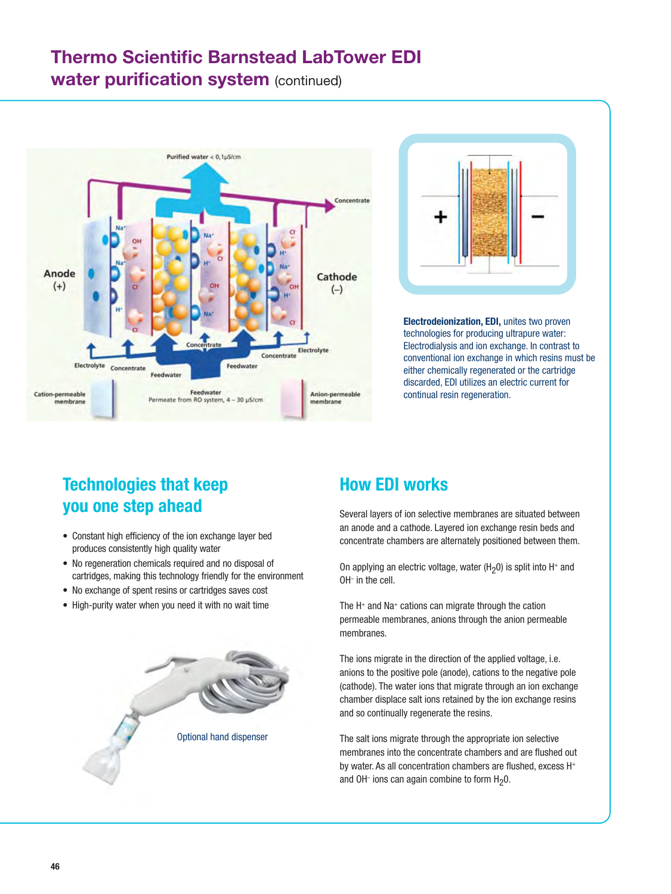## **Thermo Scientific Barnstead LabTower EDI water purification system (continued)**





**Electrodeionization, EDI,** unites two proven technologies for producing ultrapure water: Electrodialysis and ion exchange. In contrast to conventional ion exchange in which resins must be either chemically regenerated or the cartridge discarded, EDI utilizes an electric current for continual resin regeneration.

## **Technologies that keep you one step ahead**

- Constant high efficiency of the ion exchange layer bed produces consistently high quality water
- No regeneration chemicals required and no disposal of cartridges, making this technology friendly for the environment
- No exchange of spent resins or cartridges saves cost
- High-purity water when you need it with no wait time



## **How EDI works**

Several layers of ion selective membranes are situated between an anode and a cathode. Layered ion exchange resin beds and concentrate chambers are alternately positioned between them.

On applying an electric voltage, water ( $H_2$ 0) is split into  $H^+$  and OH– in the cell.

The H<sup>+</sup> and Na<sup>+</sup> cations can migrate through the cation permeable membranes, anions through the anion permeable membranes.

The ions migrate in the direction of the applied voltage, i.e. anions to the positive pole (anode), cations to the negative pole (cathode). The water ions that migrate through an ion exchange chamber displace salt ions retained by the ion exchange resins and so continually regenerate the resins.

The salt ions migrate through the appropriate ion selective membranes into the concentrate chambers and are flushed out by water. As all concentration chambers are flushed, excess H<sup>+</sup> and OH<sup>-</sup> ions can again combine to form  $H_2O$ .